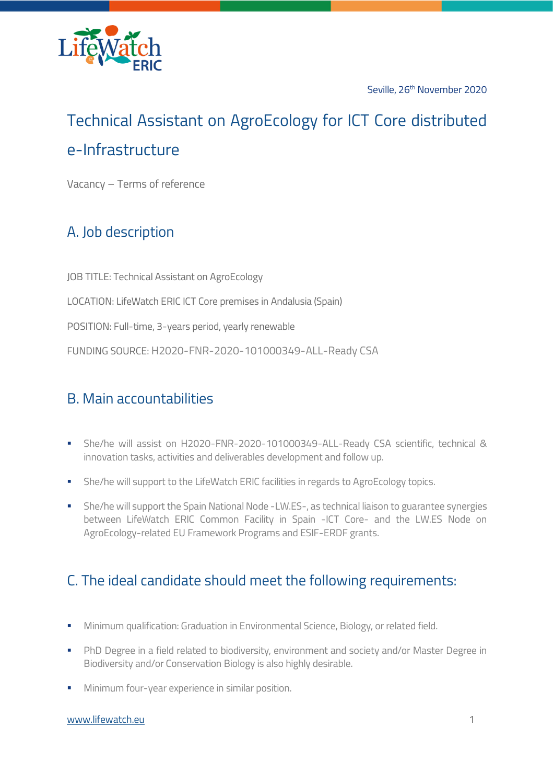

Seville, 26<sup>th</sup> November 2020

# Technical Assistant on AgroEcology for ICT Core distributed e-Infrastructure

Vacancy – Terms of reference

## A. Job description

JOB TITLE: Technical Assistant on AgroEcology LOCATION: LifeWatch ERIC ICT Core premises in Andalusia (Spain) POSITION: Full-time, 3-years period, yearly renewable FUNDING SOURCE: H2020-FNR-2020-101000349-ALL-Ready CSA

#### B. Main accountabilities

- She/he will assist on H2020-FNR-2020-101000349-ALL-Ready CSA scientific, technical & innovation tasks, activities and deliverables development and follow up.
- **EXECTE She/he will support to the LifeWatch ERIC facilities in regards to AgroEcology topics.**
- **•** She/he will support the Spain National Node -LW.ES-, as technical liaison to guarantee synergies between LifeWatch ERIC Common Facility in Spain -ICT Core- and the LW.ES Node on AgroEcology-related EU Framework Programs and ESIF-ERDF grants.

### C. The ideal candidate should meet the following requirements:

- Minimum qualification: Graduation in Environmental Science, Biology, or related field.
- **PhD Degree in a field related to biodiversity, environment and society and/or Master Degree in** Biodiversity and/or Conservation Biology is also highly desirable.
- Minimum four-year experience in similar position.

#### [www.lifewatch.eu](https://www.lifewatch.eu/) 1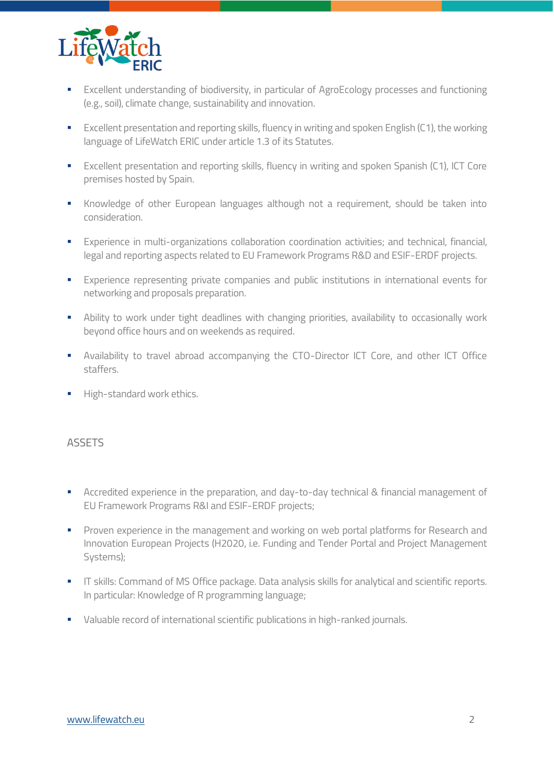

- **Excellent understanding of biodiversity, in particular of AgroEcology processes and functioning** (e.g., soil), climate change, sustainability and innovation.
- Excellent presentation and reporting skills, fluency in writing and spoken English (C1), the working language of LifeWatch ERIC under article 1.3 of its Statutes.
- Excellent presentation and reporting skills, fluency in writing and spoken Spanish (C1), ICT Core premises hosted by Spain.
- Knowledge of other European languages although not a requirement, should be taken into consideration.
- Experience in multi-organizations collaboration coordination activities; and technical, financial, legal and reporting aspects related to EU Framework Programs R&D and ESIF-ERDF projects.
- **Experience representing private companies and public institutions in international events for** networking and proposals preparation.
- **E** Ability to work under tight deadlines with changing priorities, availability to occasionally work beyond office hours and on weekends as required.
- Availability to travel abroad accompanying the CTO-Director ICT Core, and other ICT Office staffers.
- **■** High-standard work ethics.

#### ASSETS

- Accredited experience in the preparation, and day-to-day technical & financial management of EU Framework Programs R&I and ESIF-ERDF projects;
- **Proven experience in the management and working on web portal platforms for Research and** Innovation European Projects (H2020, i.e. Funding and Tender Portal and Project Management Systems);
- **IT skills: Command of MS Office package. Data analysis skills for analytical and scientific reports.** In particular: Knowledge of R programming language;
- Valuable record of international scientific publications in high-ranked journals.